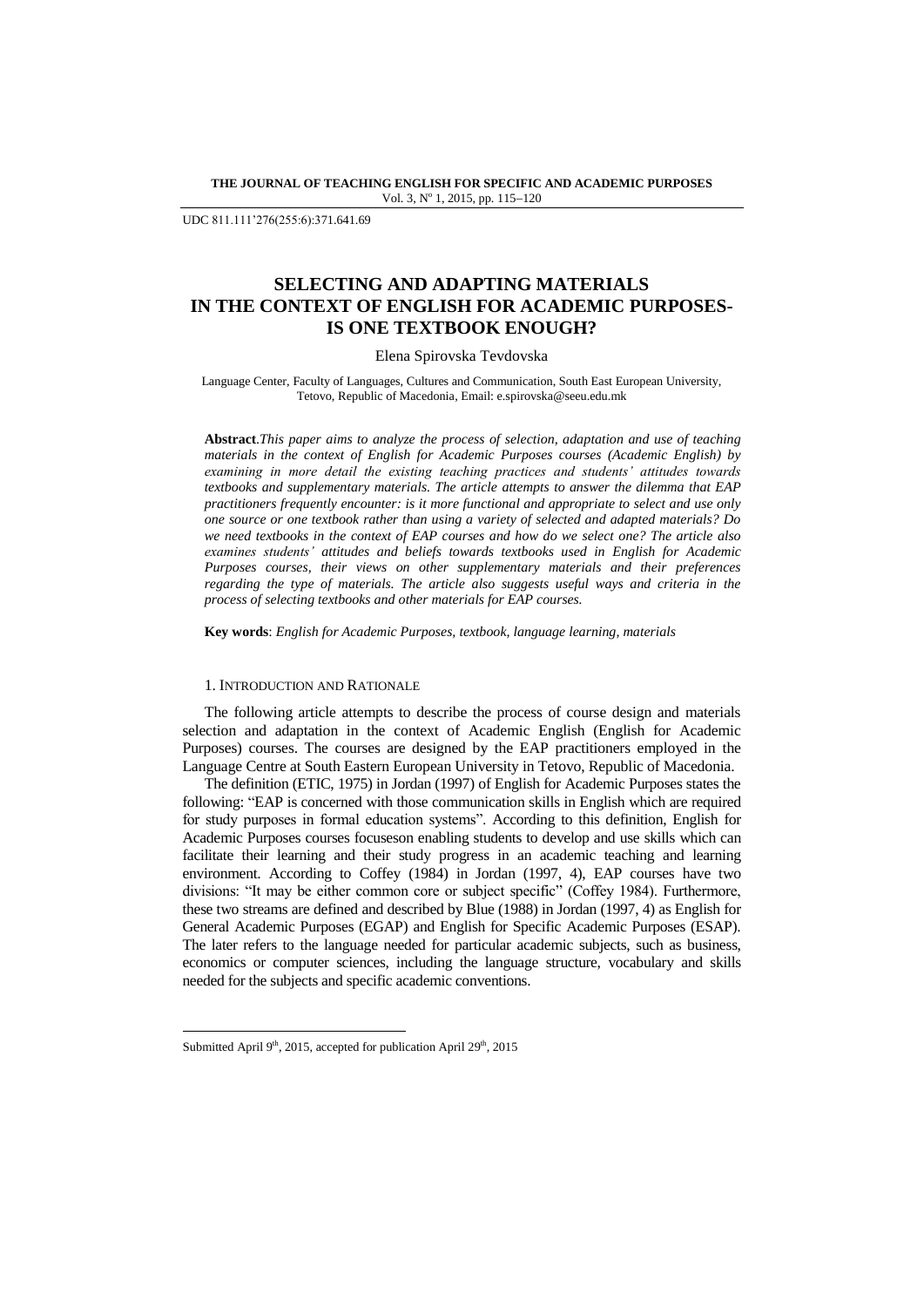**THE JOURNAL OF TEACHING ENGLISH FOR SPECIFIC AND ACADEMIC PURPOSES** Vol. 3, Nº 1, 2015, pp. 115-120

UDC 811.111"276(255:6):371.641.69

# **SELECTING AND ADAPTING MATERIALS IN THE CONTEXT OF ENGLISH FOR ACADEMIC PURPOSES-IS ONE TEXTBOOK ENOUGH?**

#### Elena Spirovska Tevdovska

Language Center, Faculty of Languages, Cultures and Communication, South East European University, Tetovo, Republic of Macedonia, Email[: e.spirovska@seeu.edu.mk](mailto:e.spirovska@seeu.edu.mk)

**Abstract**.*This paper aims to analyze the process of selection, adaptation and use of teaching materials in the context of English for Academic Purposes courses (Academic English) by examining in more detail the existing teaching practices and students' attitudes towards textbooks and supplementary materials. The article attempts to answer the dilemma that EAP practitioners frequently encounter: is it more functional and appropriate to select and use only one source or one textbook rather than using a variety of selected and adapted materials? Do we need textbooks in the context of EAP courses and how do we select one? The article also examines students' attitudes and beliefs towards textbooks used in English for Academic Purposes courses, their views on other supplementary materials and their preferences regarding the type of materials. The article also suggests useful ways and criteria in the process of selecting textbooks and other materials for EAP courses.*

**Key words**: *English for Academic Purposes, textbook, language learning, materials*

### 1. INTRODUCTION AND RATIONALE

The following article attempts to describe the process of course design and materials selection and adaptation in the context of Academic English (English for Academic Purposes) courses. The courses are designed by the EAP practitioners employed in the Language Centre at South Eastern European University in Tetovo, Republic of Macedonia.

The definition (ETIC, 1975) in Jordan (1997) of English for Academic Purposes states the following: "EAP is concerned with those communication skills in English which are required for study purposes in formal education systems". According to this definition, English for Academic Purposes courses focuseson enabling students to develop and use skills which can facilitate their learning and their study progress in an academic teaching and learning environment. According to Coffey (1984) in Jordan (1997, 4), EAP courses have two divisions: "It may be either common core or subject specific" (Coffey 1984). Furthermore, these two streams are defined and described by Blue (1988) in Jordan (1997, 4) as English for General Academic Purposes (EGAP) and English for Specific Academic Purposes (ESAP). The later refers to the language needed for particular academic subjects, such as business, economics or computer sciences, including the language structure, vocabulary and skills needed for the subjects and specific academic conventions.

1

Submitted April 9<sup>th</sup>, 2015, accepted for publication April 29<sup>th</sup>, 2015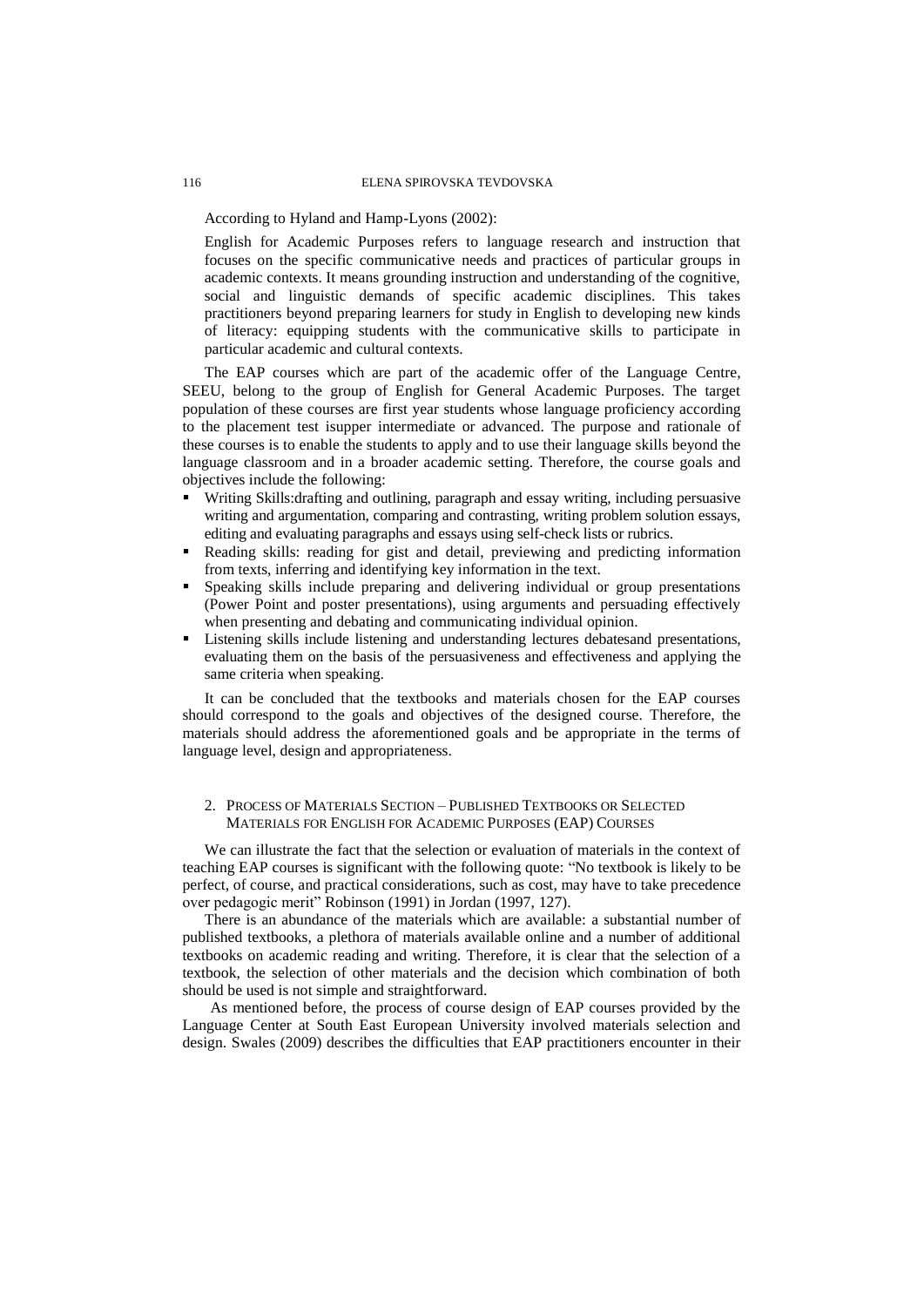According to Hyland and Hamp-Lyons (2002):

English for Academic Purposes refers to language research and instruction that focuses on the specific communicative needs and practices of particular groups in academic contexts. It means grounding instruction and understanding of the cognitive, social and linguistic demands of specific academic disciplines. This takes practitioners beyond preparing learners for study in English to developing new kinds of literacy: equipping students with the communicative skills to participate in particular academic and cultural contexts.

The EAP courses which are part of the academic offer of the Language Centre, SEEU, belong to the group of English for General Academic Purposes. The target population of these courses are first year students whose language proficiency according to the placement test isupper intermediate or advanced. The purpose and rationale of these courses is to enable the students to apply and to use their language skills beyond the language classroom and in a broader academic setting. Therefore, the course goals and objectives include the following:

- Writing Skills:drafting and outlining, paragraph and essay writing, including persuasive writing and argumentation, comparing and contrasting, writing problem solution essays, editing and evaluating paragraphs and essays using self-check lists or rubrics.
- Reading skills: reading for gist and detail, previewing and predicting information from texts, inferring and identifying key information in the text.
- Speaking skills include preparing and delivering individual or group presentations (Power Point and poster presentations), using arguments and persuading effectively when presenting and debating and communicating individual opinion.
- Listening skills include listening and understanding lectures debatesand presentations, evaluating them on the basis of the persuasiveness and effectiveness and applying the same criteria when speaking.

It can be concluded that the textbooks and materials chosen for the EAP courses should correspond to the goals and objectives of the designed course. Therefore, the materials should address the aforementioned goals and be appropriate in the terms of language level, design and appropriateness.

# 2. PROCESS OF MATERIALS SECTION – PUBLISHED TEXTBOOKS OR SELECTED MATERIALS FOR ENGLISH FOR ACADEMIC PURPOSES (EAP) COURSES

We can illustrate the fact that the selection or evaluation of materials in the context of teaching EAP courses is significant with the following quote: "No textbook is likely to be perfect, of course, and practical considerations, such as cost, may have to take precedence over pedagogic merit" Robinson (1991) in Jordan (1997, 127).

There is an abundance of the materials which are available: a substantial number of published textbooks, a plethora of materials available online and a number of additional textbooks on academic reading and writing. Therefore, it is clear that the selection of a textbook, the selection of other materials and the decision which combination of both should be used is not simple and straightforward.

As mentioned before, the process of course design of EAP courses provided by the Language Center at South East European University involved materials selection and design. Swales (2009) describes the difficulties that EAP practitioners encounter in their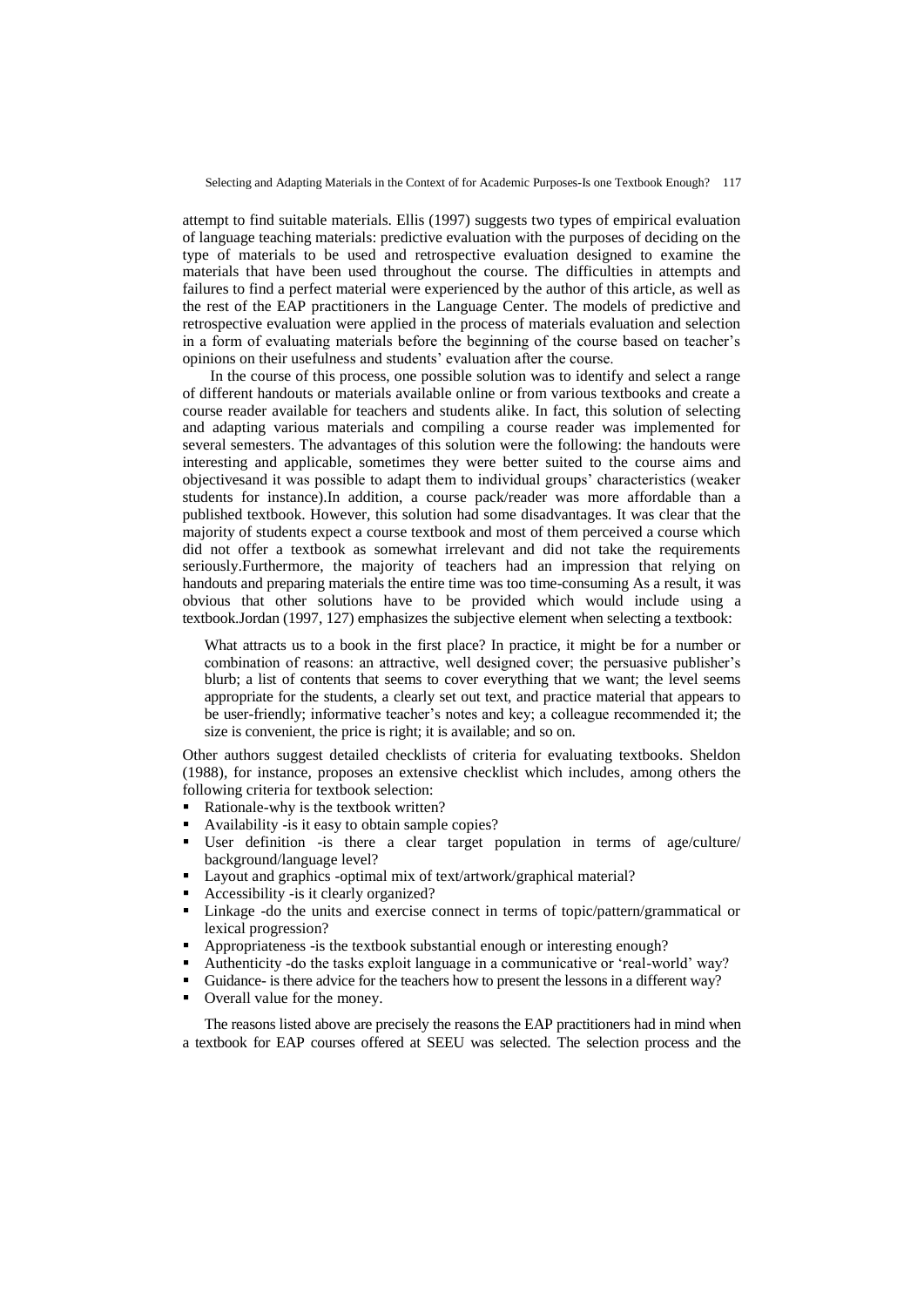attempt to find suitable materials. Ellis (1997) suggests two types of empirical evaluation of language teaching materials: predictive evaluation with the purposes of deciding on the type of materials to be used and retrospective evaluation designed to examine the materials that have been used throughout the course. The difficulties in attempts and failures to find a perfect material were experienced by the author of this article, as well as the rest of the EAP practitioners in the Language Center. The models of predictive and retrospective evaluation were applied in the process of materials evaluation and selection in a form of evaluating materials before the beginning of the course based on teacher"s opinions on their usefulness and students" evaluation after the course.

In the course of this process, one possible solution was to identify and select a range of different handouts or materials available online or from various textbooks and create a course reader available for teachers and students alike. In fact, this solution of selecting and adapting various materials and compiling a course reader was implemented for several semesters. The advantages of this solution were the following: the handouts were interesting and applicable, sometimes they were better suited to the course aims and objectivesand it was possible to adapt them to individual groups" characteristics (weaker students for instance).In addition, a course pack/reader was more affordable than a published textbook. However, this solution had some disadvantages. It was clear that the majority of students expect a course textbook and most of them perceived a course which did not offer a textbook as somewhat irrelevant and did not take the requirements seriously.Furthermore, the majority of teachers had an impression that relying on handouts and preparing materials the entire time was too time-consuming As a result, it was obvious that other solutions have to be provided which would include using a textbook.Jordan (1997, 127) emphasizes the subjective element when selecting a textbook:

What attracts us to a book in the first place? In practice, it might be for a number or combination of reasons: an attractive, well designed cover; the persuasive publisher"s blurb; a list of contents that seems to cover everything that we want; the level seems appropriate for the students, a clearly set out text, and practice material that appears to be user-friendly; informative teacher"s notes and key; a colleague recommended it; the size is convenient, the price is right; it is available; and so on.

Other authors suggest detailed checklists of criteria for evaluating textbooks. Sheldon (1988), for instance, proposes an extensive checklist which includes, among others the following criteria for textbook selection:

- Rationale-why is the textbook written?
- Availability -is it easy to obtain sample copies?
- User definition -is there a clear target population in terms of age/culture/ background/language level?
- Layout and graphics -optimal mix of text/artwork/graphical material?
- Accessibility -is it clearly organized?
- Linkage -do the units and exercise connect in terms of topic/pattern/grammatical or lexical progression?
- Appropriateness -is the textbook substantial enough or interesting enough?
- Authenticity -do the tasks exploit language in a communicative or "real-world" way?
- Guidance- is there advice for the teachers how to present the lessons in a different way?
- Overall value for the money.

The reasons listed above are precisely the reasons the EAP practitioners had in mind when a textbook for EAP courses offered at SEEU was selected. The selection process and the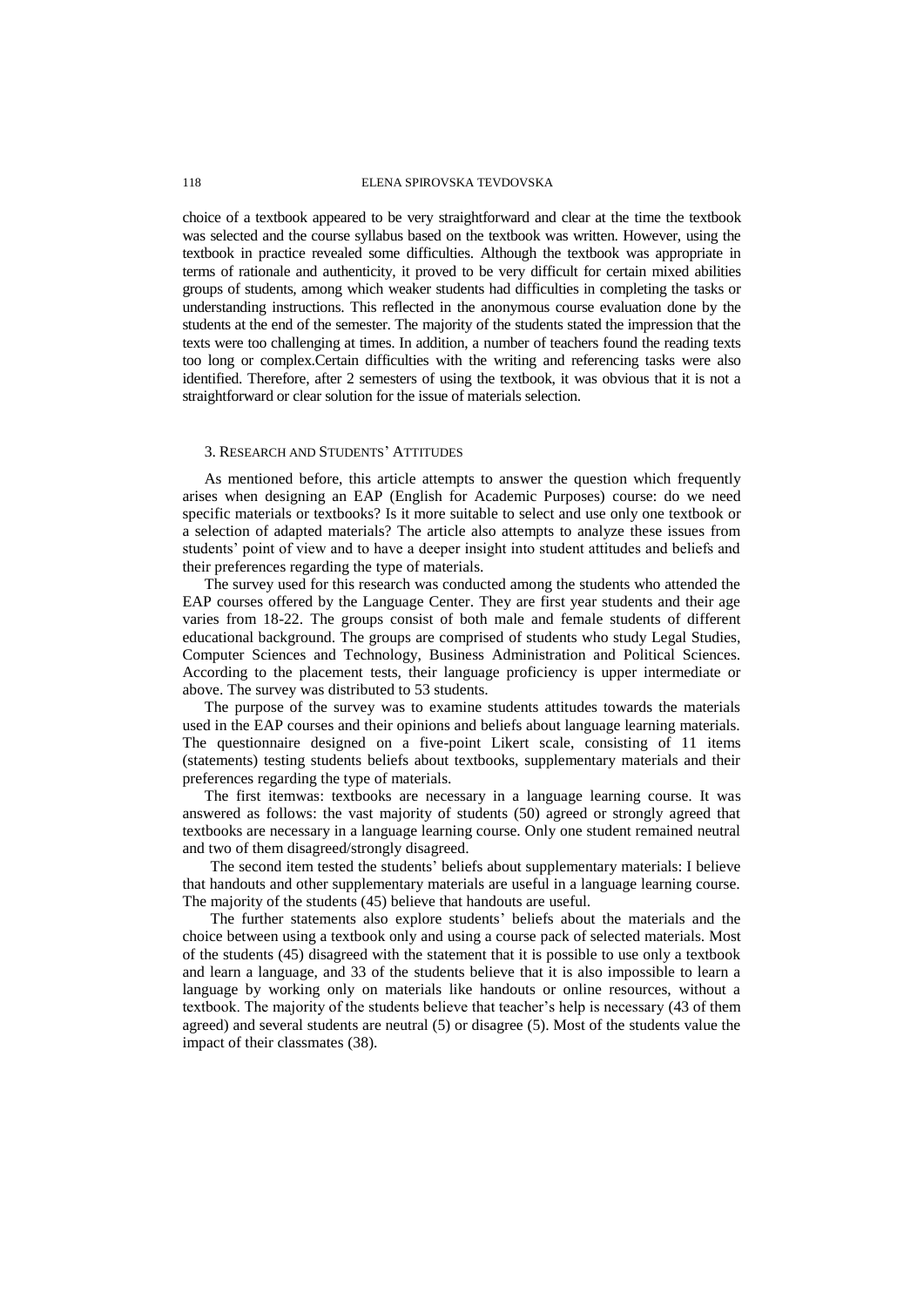#### 118 ELENA SPIROVSKA TEVDOVSKA

choice of a textbook appeared to be very straightforward and clear at the time the textbook was selected and the course syllabus based on the textbook was written. However, using the textbook in practice revealed some difficulties. Although the textbook was appropriate in terms of rationale and authenticity, it proved to be very difficult for certain mixed abilities groups of students, among which weaker students had difficulties in completing the tasks or understanding instructions. This reflected in the anonymous course evaluation done by the students at the end of the semester. The majority of the students stated the impression that the texts were too challenging at times. In addition, a number of teachers found the reading texts too long or complex.Certain difficulties with the writing and referencing tasks were also identified. Therefore, after 2 semesters of using the textbook, it was obvious that it is not a straightforward or clear solution for the issue of materials selection.

# 3. RESEARCH AND STUDENTS" ATTITUDES

As mentioned before, this article attempts to answer the question which frequently arises when designing an EAP (English for Academic Purposes) course: do we need specific materials or textbooks? Is it more suitable to select and use only one textbook or a selection of adapted materials? The article also attempts to analyze these issues from students" point of view and to have a deeper insight into student attitudes and beliefs and their preferences regarding the type of materials.

The survey used for this research was conducted among the students who attended the EAP courses offered by the Language Center. They are first year students and their age varies from 18-22. The groups consist of both male and female students of different educational background. The groups are comprised of students who study Legal Studies, Computer Sciences and Technology, Business Administration and Political Sciences. According to the placement tests, their language proficiency is upper intermediate or above. The survey was distributed to 53 students.

The purpose of the survey was to examine students attitudes towards the materials used in the EAP courses and their opinions and beliefs about language learning materials. The questionnaire designed on a five-point Likert scale, consisting of 11 items (statements) testing students beliefs about textbooks, supplementary materials and their preferences regarding the type of materials.

The first itemwas: textbooks are necessary in a language learning course. It was answered as follows: the vast majority of students (50) agreed or strongly agreed that textbooks are necessary in a language learning course. Only one student remained neutral and two of them disagreed/strongly disagreed.

The second item tested the students" beliefs about supplementary materials: I believe that handouts and other supplementary materials are useful in a language learning course. The majority of the students (45) believe that handouts are useful.

The further statements also explore students" beliefs about the materials and the choice between using a textbook only and using a course pack of selected materials. Most of the students (45) disagreed with the statement that it is possible to use only a textbook and learn a language, and 33 of the students believe that it is also impossible to learn a language by working only on materials like handouts or online resources, without a textbook. The majority of the students believe that teacher"s help is necessary (43 of them agreed) and several students are neutral (5) or disagree (5). Most of the students value the impact of their classmates (38).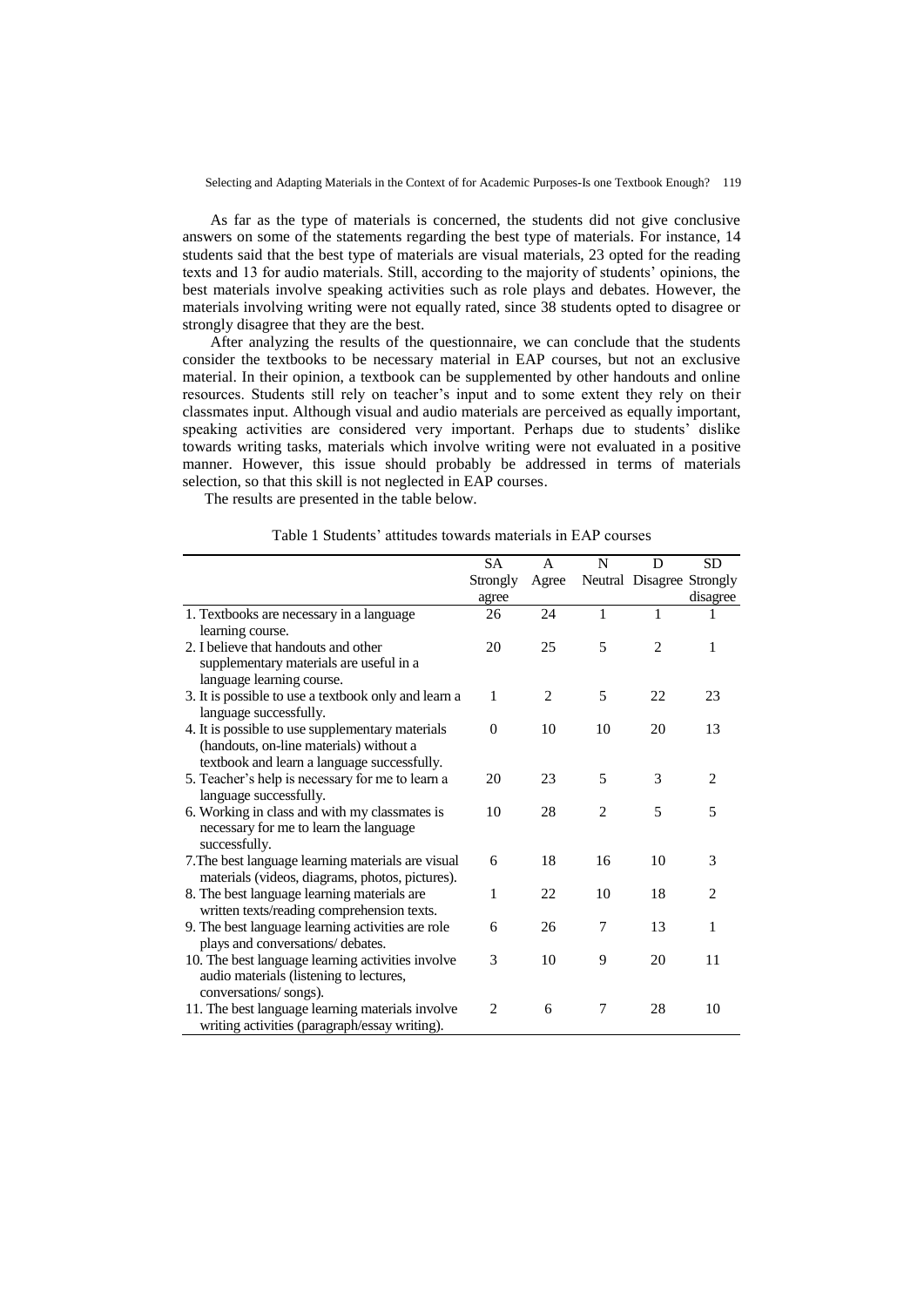As far as the type of materials is concerned, the students did not give conclusive answers on some of the statements regarding the best type of materials. For instance, 14 students said that the best type of materials are visual materials, 23 opted for the reading texts and 13 for audio materials. Still, according to the majority of students' opinions, the best materials involve speaking activities such as role plays and debates. However, the materials involving writing were not equally rated, since 38 students opted to disagree or strongly disagree that they are the best.

After analyzing the results of the questionnaire, we can conclude that the students consider the textbooks to be necessary material in EAP courses, but not an exclusive material. In their opinion, a textbook can be supplemented by other handouts and online resources. Students still rely on teacher"s input and to some extent they rely on their classmates input. Although visual and audio materials are perceived as equally important, speaking activities are considered very important. Perhaps due to students' dislike towards writing tasks, materials which involve writing were not evaluated in a positive manner. However, this issue should probably be addressed in terms of materials selection, so that this skill is not neglected in EAP courses.

The results are presented in the table below.

|                                                      | SA       | $\overline{A}$ | N              | D                         | <b>SD</b>      |
|------------------------------------------------------|----------|----------------|----------------|---------------------------|----------------|
|                                                      | Strongly | Agree          |                | Neutral Disagree Strongly |                |
|                                                      | agree    |                |                |                           | disagree       |
| 1. Textbooks are necessary in a language             | 26       | 24             | $\mathbf{1}$   | 1                         |                |
| learning course.                                     |          |                |                |                           |                |
| 2. I believe that handouts and other                 | 20       | 25             | 5              | $\overline{c}$            | 1              |
| supplementary materials are useful in a              |          |                |                |                           |                |
| language learning course.                            |          |                |                |                           |                |
| 3. It is possible to use a textbook only and learn a | 1        | $\overline{2}$ | 5              | 22                        | 23             |
| language successfully.                               |          |                |                |                           |                |
| 4. It is possible to use supplementary materials     | $\Omega$ | 10             | 10             | 20                        | 13             |
| (handouts, on-line materials) without a              |          |                |                |                           |                |
| textbook and learn a language successfully.          |          |                |                |                           |                |
| 5. Teacher's help is necessary for me to learn a     | 20       | 23             | 5              | 3                         | 2              |
| language successfully.                               |          |                |                |                           |                |
| 6. Working in class and with my classmates is        | 10       | 28             | $\overline{2}$ | 5                         | 5              |
| necessary for me to learn the language               |          |                |                |                           |                |
| successfully.                                        |          |                |                |                           |                |
| 7. The best language learning materials are visual   | 6        | 18             | 16             | 10                        | 3              |
| materials (videos, diagrams, photos, pictures).      |          |                |                |                           |                |
| 8. The best language learning materials are          | 1        | 22.            | 10             | 18                        | $\mathfrak{D}$ |
| written texts/reading comprehension texts.           |          |                |                |                           |                |
| 9. The best language learning activities are role    | 6        | 26             | 7              | 13                        | 1              |
| plays and conversations/ debates.                    |          |                |                |                           |                |
| 10. The best language learning activities involve    | 3        | 10             | 9              | 20                        | 11             |
| audio materials (listening to lectures,              |          |                |                |                           |                |
| conversations/songs).                                |          |                |                |                           |                |
| 11. The best language learning materials involve     | 2        | 6              | 7              | 28                        | 10             |
| writing activities (paragraph/essay writing).        |          |                |                |                           |                |